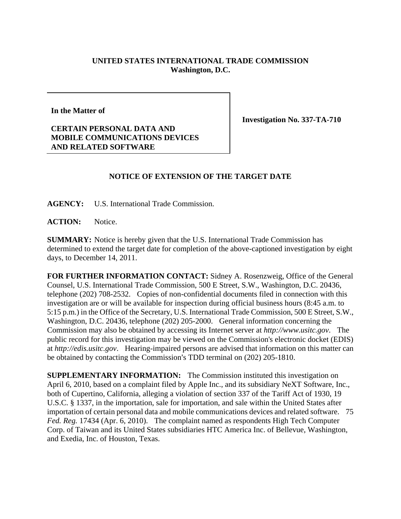## **UNITED STATES INTERNATIONAL TRADE COMMISSION Washington, D.C.**

**In the Matter of** 

**CERTAIN PERSONAL DATA AND MOBILE COMMUNICATIONS DEVICES AND RELATED SOFTWARE** 

**Investigation No. 337-TA-710** 

## **NOTICE OF EXTENSION OF THE TARGET DATE**

**AGENCY:** U.S. International Trade Commission.

**ACTION:** Notice.

**SUMMARY:** Notice is hereby given that the U.S. International Trade Commission has determined to extend the target date for completion of the above-captioned investigation by eight days, to December 14, 2011.

**FOR FURTHER INFORMATION CONTACT:** Sidney A. Rosenzweig, Office of the General Counsel, U.S. International Trade Commission, 500 E Street, S.W., Washington, D.C. 20436, telephone (202) 708-2532. Copies of non-confidential documents filed in connection with this investigation are or will be available for inspection during official business hours (8:45 a.m. to 5:15 p.m.) in the Office of the Secretary, U.S. International Trade Commission, 500 E Street, S.W., Washington, D.C. 20436, telephone (202) 205-2000. General information concerning the Commission may also be obtained by accessing its Internet server at *http://www.usitc.gov*. The public record for this investigation may be viewed on the Commission's electronic docket (EDIS) at *http://edis.usitc.gov*. Hearing-impaired persons are advised that information on this matter can be obtained by contacting the Commission's TDD terminal on (202) 205-1810.

**SUPPLEMENTARY INFORMATION:** The Commission instituted this investigation on April 6, 2010, based on a complaint filed by Apple Inc., and its subsidiary NeXT Software, Inc., both of Cupertino, California, alleging a violation of section 337 of the Tariff Act of 1930, 19 U.S.C. § 1337, in the importation, sale for importation, and sale within the United States after importation of certain personal data and mobile communications devices and related software. 75 *Fed. Reg.* 17434 (Apr. 6, 2010). The complaint named as respondents High Tech Computer Corp. of Taiwan and its United States subsidiaries HTC America Inc. of Bellevue, Washington, and Exedia, Inc. of Houston, Texas.